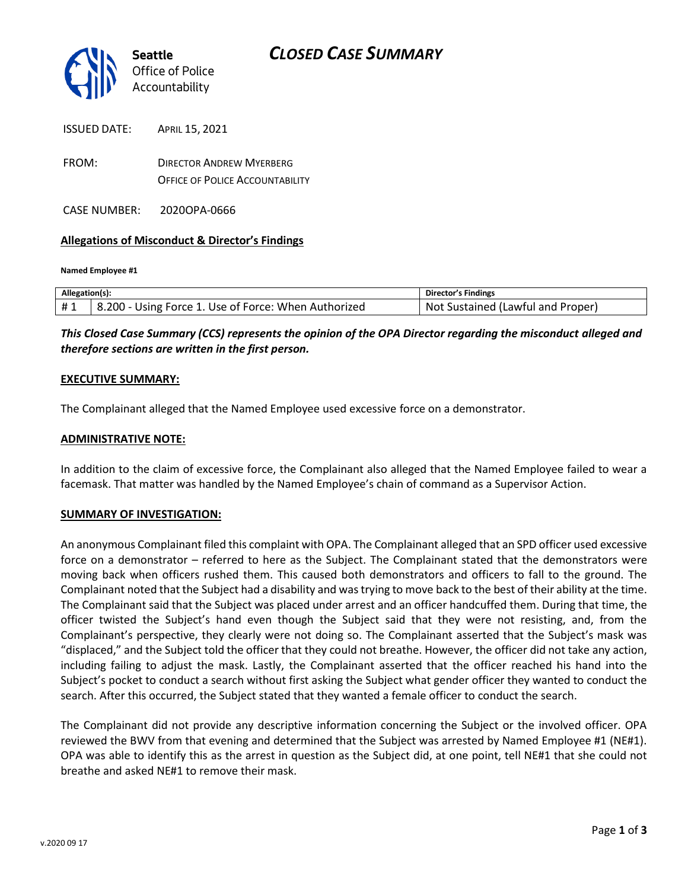

| ISSUED DATE: | APRIL 15, 2021                         |
|--------------|----------------------------------------|
| FROM:        | <b>DIRECTOR ANDREW MYERBERG</b>        |
|              | <b>OFFICE OF POLICE ACCOUNTABILITY</b> |

CASE NUMBER: 2020OPA-0666

### **Allegations of Misconduct & Director's Findings**

**Named Employee #1**

| Allegation(s): |                                                      | Director's Findings               |
|----------------|------------------------------------------------------|-----------------------------------|
| #1             | 8.200 - Using Force 1. Use of Force: When Authorized | Not Sustained (Lawful and Proper) |

*This Closed Case Summary (CCS) represents the opinion of the OPA Director regarding the misconduct alleged and therefore sections are written in the first person.* 

#### **EXECUTIVE SUMMARY:**

The Complainant alleged that the Named Employee used excessive force on a demonstrator.

### **ADMINISTRATIVE NOTE:**

In addition to the claim of excessive force, the Complainant also alleged that the Named Employee failed to wear a facemask. That matter was handled by the Named Employee's chain of command as a Supervisor Action.

#### **SUMMARY OF INVESTIGATION:**

An anonymous Complainant filed this complaint with OPA. The Complainant alleged that an SPD officer used excessive force on a demonstrator – referred to here as the Subject. The Complainant stated that the demonstrators were moving back when officers rushed them. This caused both demonstrators and officers to fall to the ground. The Complainant noted that the Subject had a disability and was trying to move back to the best of their ability at the time. The Complainant said that the Subject was placed under arrest and an officer handcuffed them. During that time, the officer twisted the Subject's hand even though the Subject said that they were not resisting, and, from the Complainant's perspective, they clearly were not doing so. The Complainant asserted that the Subject's mask was "displaced," and the Subject told the officer that they could not breathe. However, the officer did not take any action, including failing to adjust the mask. Lastly, the Complainant asserted that the officer reached his hand into the Subject's pocket to conduct a search without first asking the Subject what gender officer they wanted to conduct the search. After this occurred, the Subject stated that they wanted a female officer to conduct the search.

The Complainant did not provide any descriptive information concerning the Subject or the involved officer. OPA reviewed the BWV from that evening and determined that the Subject was arrested by Named Employee #1 (NE#1). OPA was able to identify this as the arrest in question as the Subject did, at one point, tell NE#1 that she could not breathe and asked NE#1 to remove their mask.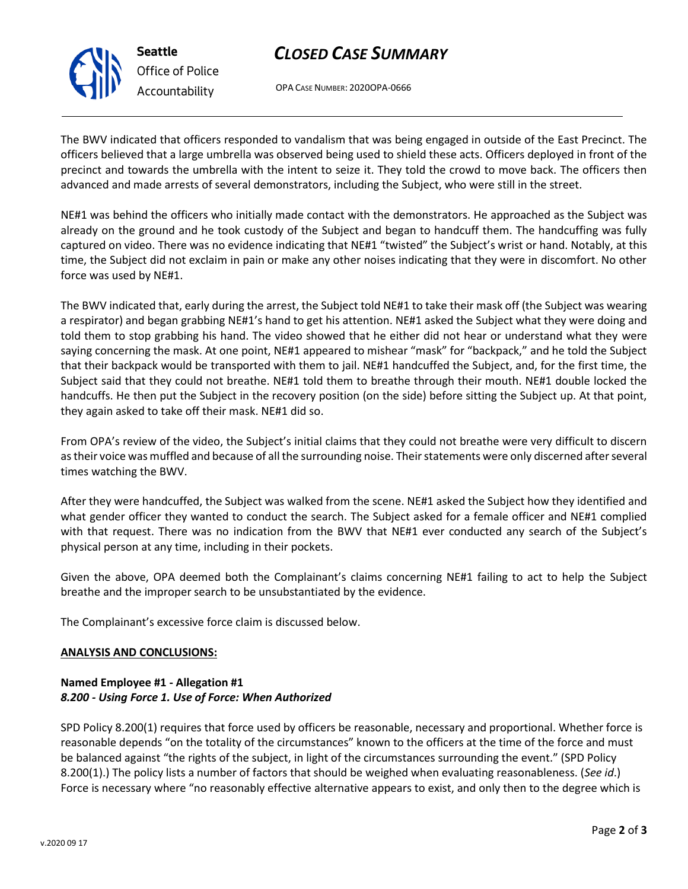

# *CLOSED CASE SUMMARY*

OPA CASE NUMBER: 2020OPA-0666

The BWV indicated that officers responded to vandalism that was being engaged in outside of the East Precinct. The officers believed that a large umbrella was observed being used to shield these acts. Officers deployed in front of the precinct and towards the umbrella with the intent to seize it. They told the crowd to move back. The officers then advanced and made arrests of several demonstrators, including the Subject, who were still in the street.

NE#1 was behind the officers who initially made contact with the demonstrators. He approached as the Subject was already on the ground and he took custody of the Subject and began to handcuff them. The handcuffing was fully captured on video. There was no evidence indicating that NE#1 "twisted" the Subject's wrist or hand. Notably, at this time, the Subject did not exclaim in pain or make any other noises indicating that they were in discomfort. No other force was used by NE#1.

The BWV indicated that, early during the arrest, the Subject told NE#1 to take their mask off (the Subject was wearing a respirator) and began grabbing NE#1's hand to get his attention. NE#1 asked the Subject what they were doing and told them to stop grabbing his hand. The video showed that he either did not hear or understand what they were saying concerning the mask. At one point, NE#1 appeared to mishear "mask" for "backpack," and he told the Subject that their backpack would be transported with them to jail. NE#1 handcuffed the Subject, and, for the first time, the Subject said that they could not breathe. NE#1 told them to breathe through their mouth. NE#1 double locked the handcuffs. He then put the Subject in the recovery position (on the side) before sitting the Subject up. At that point, they again asked to take off their mask. NE#1 did so.

From OPA's review of the video, the Subject's initial claims that they could not breathe were very difficult to discern as their voice was muffled and because of all the surrounding noise. Their statements were only discerned after several times watching the BWV.

After they were handcuffed, the Subject was walked from the scene. NE#1 asked the Subject how they identified and what gender officer they wanted to conduct the search. The Subject asked for a female officer and NE#1 complied with that request. There was no indication from the BWV that NE#1 ever conducted any search of the Subject's physical person at any time, including in their pockets.

Given the above, OPA deemed both the Complainant's claims concerning NE#1 failing to act to help the Subject breathe and the improper search to be unsubstantiated by the evidence.

The Complainant's excessive force claim is discussed below.

### **ANALYSIS AND CONCLUSIONS:**

### **Named Employee #1 - Allegation #1** *8.200 - Using Force 1. Use of Force: When Authorized*

SPD Policy 8.200(1) requires that force used by officers be reasonable, necessary and proportional. Whether force is reasonable depends "on the totality of the circumstances" known to the officers at the time of the force and must be balanced against "the rights of the subject, in light of the circumstances surrounding the event." (SPD Policy 8.200(1).) The policy lists a number of factors that should be weighed when evaluating reasonableness. (*See id*.) Force is necessary where "no reasonably effective alternative appears to exist, and only then to the degree which is